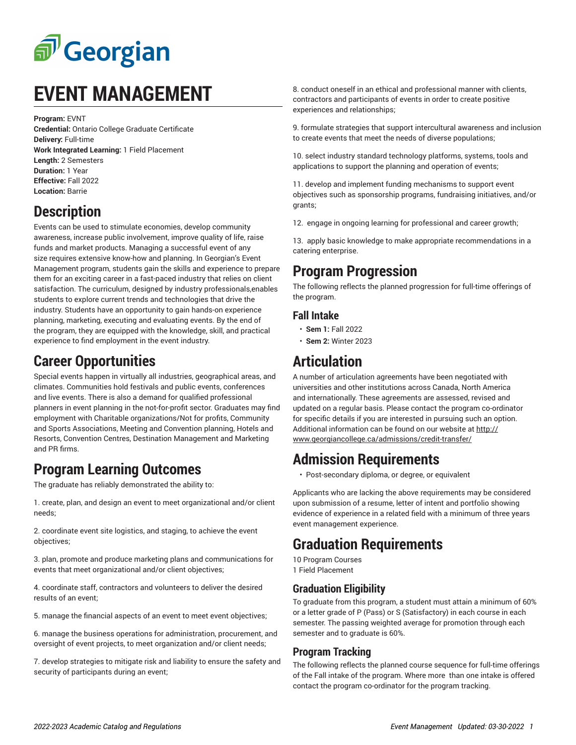

# **EVENT MANAGEMENT**

**Program:** EVNT **Credential:** Ontario College Graduate Certificate **Delivery:** Full-time **Work Integrated Learning:** 1 Field Placement **Length:** 2 Semesters **Duration:** 1 Year **Effective:** Fall 2022 **Location:** Barrie

# **Description**

Events can be used to stimulate economies, develop community awareness, increase public involvement, improve quality of life, raise funds and market products. Managing a successful event of any size requires extensive know-how and planning. In Georgian's Event Management program, students gain the skills and experience to prepare them for an exciting career in a fast-paced industry that relies on client satisfaction. The curriculum, designed by industry professionals,enables students to explore current trends and technologies that drive the industry. Students have an opportunity to gain hands-on experience planning, marketing, executing and evaluating events. By the end of the program, they are equipped with the knowledge, skill, and practical experience to find employment in the event industry.

### **Career Opportunities**

Special events happen in virtually all industries, geographical areas, and climates. Communities hold festivals and public events, conferences and live events. There is also a demand for qualified professional planners in event planning in the not-for-profit sector. Graduates may find employment with Charitable organizations/Not for profits, Community and Sports Associations, Meeting and Convention planning, Hotels and Resorts, Convention Centres, Destination Management and Marketing and PR firms.

### **Program Learning Outcomes**

The graduate has reliably demonstrated the ability to:

1. create, plan, and design an event to meet organizational and/or client needs;

2. coordinate event site logistics, and staging, to achieve the event objectives;

3. plan, promote and produce marketing plans and communications for events that meet organizational and/or client objectives;

4. coordinate staff, contractors and volunteers to deliver the desired results of an event;

5. manage the financial aspects of an event to meet event objectives;

6. manage the business operations for administration, procurement, and oversight of event projects, to meet organization and/or client needs;

7. develop strategies to mitigate risk and liability to ensure the safety and security of participants during an event;

8. conduct oneself in an ethical and professional manner with clients, contractors and participants of events in order to create positive experiences and relationships;

9. formulate strategies that support intercultural awareness and inclusion to create events that meet the needs of diverse populations;

10. select industry standard technology platforms, systems, tools and applications to support the planning and operation of events;

11. develop and implement funding mechanisms to support event objectives such as sponsorship programs, fundraising initiatives, and/or grants;

12. engage in ongoing learning for professional and career growth;

13. apply basic knowledge to make appropriate recommendations in a catering enterprise.

#### **Program Progression**

The following reflects the planned progression for full-time offerings of the program.

#### **Fall Intake**

- **Sem 1:** Fall 2022
- **Sem 2:** Winter 2023

## **Articulation**

A number of articulation agreements have been negotiated with universities and other institutions across Canada, North America and internationally. These agreements are assessed, revised and updated on a regular basis. Please contact the program co-ordinator for specific details if you are interested in pursuing such an option. Additional information can be found on our website at [http://](http://www.georgiancollege.ca/admissions/credit-transfer/) [www.georgiancollege.ca/admissions/credit-transfer/](http://www.georgiancollege.ca/admissions/credit-transfer/)

#### **Admission Requirements**

• Post-secondary diploma, or degree, or equivalent

Applicants who are lacking the above requirements may be considered upon submission of a resume, letter of intent and portfolio showing evidence of experience in a related field with a minimum of three years event management experience.

### **Graduation Requirements**

10 Program Courses 1 Field Placement

#### **Graduation Eligibility**

To graduate from this program, a student must attain a minimum of 60% or a letter grade of P (Pass) or S (Satisfactory) in each course in each semester. The passing weighted average for promotion through each semester and to graduate is 60%.

#### **Program Tracking**

The following reflects the planned course sequence for full-time offerings of the Fall intake of the program. Where more than one intake is offered contact the program co-ordinator for the program tracking.